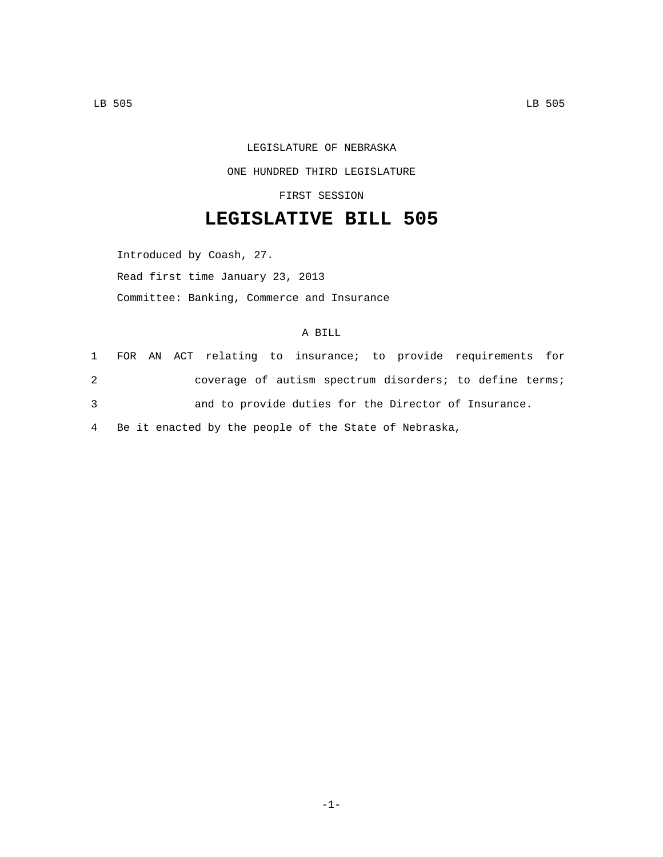## LEGISLATURE OF NEBRASKA ONE HUNDRED THIRD LEGISLATURE

FIRST SESSION

## **LEGISLATIVE BILL 505**

Introduced by Coash, 27. Read first time January 23, 2013 Committee: Banking, Commerce and Insurance

## A BILL

|   |                                                         |                                                      | 1 FOR AN ACT relating to insurance; to provide requirements for |
|---|---------------------------------------------------------|------------------------------------------------------|-----------------------------------------------------------------|
| 2 |                                                         |                                                      | coverage of autism spectrum disorders; to define terms;         |
| 3 |                                                         | and to provide duties for the Director of Insurance. |                                                                 |
|   | 4 Be it enacted by the people of the State of Nebraska, |                                                      |                                                                 |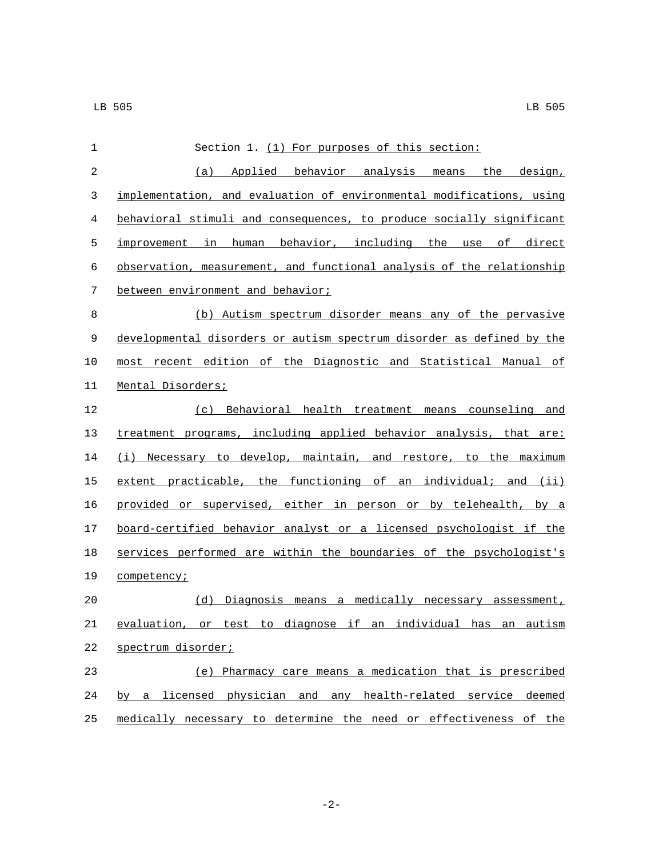| 1           | Section 1. (1) For purposes of this section:                          |  |  |  |
|-------------|-----------------------------------------------------------------------|--|--|--|
| 2           | (a) Applied behavior analysis means the design,                       |  |  |  |
| 3           | implementation, and evaluation of environmental modifications, using  |  |  |  |
| 4           | behavioral stimuli and consequences, to produce socially significant  |  |  |  |
| 5           | improvement in human behavior, including the use of direct            |  |  |  |
| 6           | observation, measurement, and functional analysis of the relationship |  |  |  |
| 7           | between environment and behavior;                                     |  |  |  |
| 8           | (b) Autism spectrum disorder means any of the pervasive               |  |  |  |
| $\mathsf 9$ | developmental disorders or autism spectrum disorder as defined by the |  |  |  |
| 10          | most recent edition of the Diagnostic and Statistical Manual of       |  |  |  |
| 11          | Mental Disorders;                                                     |  |  |  |
| 12          | (c) Behavioral health treatment means counseling and                  |  |  |  |
| 13          | treatment programs, including applied behavior analysis, that are:    |  |  |  |
| 14          | (i) Necessary to develop, maintain, and restore, to the maximum       |  |  |  |
| 15          | extent practicable, the functioning of an individual; and (ii)        |  |  |  |
| 16          | provided or supervised, either in person or by telehealth, by a       |  |  |  |
| 17          | board-certified behavior analyst or a licensed psychologist if the    |  |  |  |
| 18          | services performed are within the boundaries of the psychologist's    |  |  |  |
| 19          | competency;                                                           |  |  |  |
| 20          | (d)<br>Diagnosis means a medically necessary assessment,              |  |  |  |
| 21          | evaluation, or test to diagnose if an individual has an autism        |  |  |  |
| 22          | spectrum disorder;                                                    |  |  |  |
| 23          | (e) Pharmacy care means a medication that is prescribed               |  |  |  |
| 24          | by a licensed physician and any health-related service deemed         |  |  |  |
| 25          | medically necessary to determine the need or effectiveness of the     |  |  |  |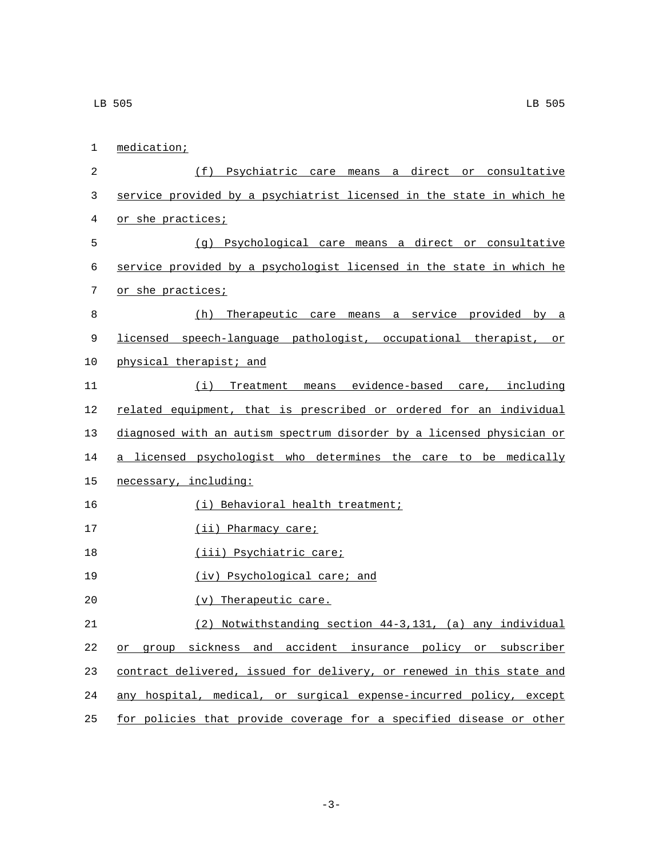1 medication; 2 (f) Psychiatric care means a direct or consultative 3 service provided by a psychiatrist licensed in the state in which he 4 or she practices; 5 (g) Psychological care means a direct or consultative 6 service provided by a psychologist licensed in the state in which he 7 or she practices; 8 (h) Therapeutic care means a service provided by a 9 licensed speech-language pathologist, occupational therapist, or 10 physical therapist; and 11 (i) Treatment means evidence-based care, including 12 related equipment, that is prescribed or ordered for an individual 13 diagnosed with an autism spectrum disorder by a licensed physician or 14 a licensed psychologist who determines the care to be medically 15 necessary, including: 16 (i) Behavioral health treatment; 17 (ii) Pharmacy care; 18 (iii) Psychiatric care; 19 (iv) Psychological care; and 20 (v) Therapeutic care. 21 (2) Notwithstanding section 44-3,131, (a) any individual 22 or group sickness and accident insurance policy or subscriber 23 contract delivered, issued for delivery, or renewed in this state and 24 any hospital, medical, or surgical expense-incurred policy, except 25 for policies that provide coverage for a specified disease or other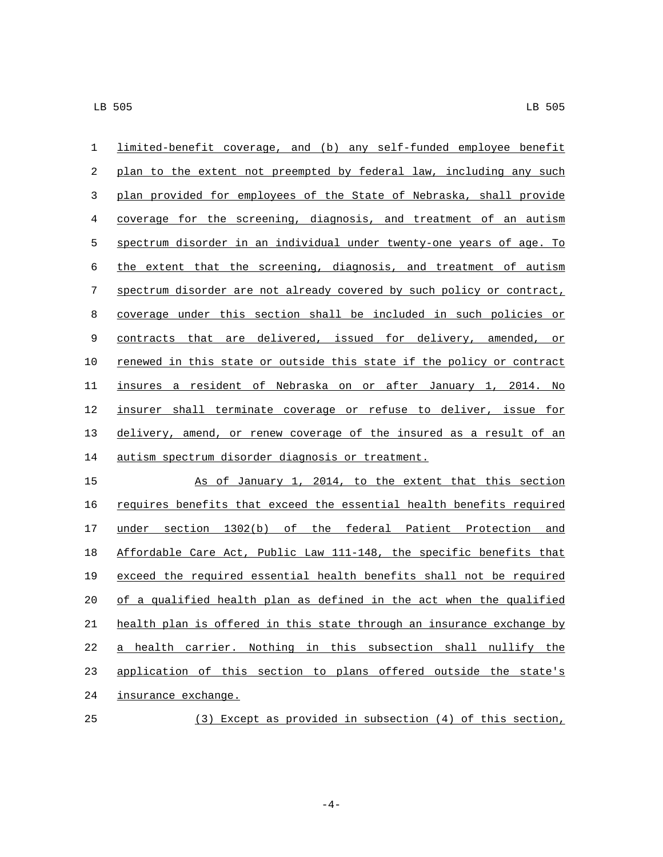| $\mathbf 1$ | limited-benefit coverage, and (b) any self-funded employee benefit           |
|-------------|------------------------------------------------------------------------------|
| $\sqrt{2}$  | plan to the extent not preempted by federal law, including any such          |
| 3           | plan provided for employees of the State of Nebraska, shall provide          |
| 4           | coverage for the screening, diagnosis, and treatment of an autism            |
| 5           | spectrum disorder in an individual under twenty-one years of age. To         |
| 6           | the extent that the screening, diagnosis, and treatment of autism            |
| 7           | spectrum disorder are not already covered by such policy or contract,        |
| 8           | coverage under this section shall be included in such policies or            |
| 9           | contracts that are delivered, issued for delivery, amended, or               |
| 10          | <u>renewed in this state or outside this state if the policy or contract</u> |
| 11          | insures a resident of Nebraska on or after January 1, 2014. No               |
| 12          | insurer shall terminate coverage or refuse to deliver, issue for             |
| 13          | delivery, amend, or renew coverage of the insured as a result of an          |
| 14          | autism spectrum disorder diagnosis or treatment.                             |
| 15          | As of January 1, 2014, to the extent that this section                       |
| 16          | requires benefits that exceed the essential health benefits required         |
| 17          | under section 1302(b) of the federal Patient Protection and                  |
| 18          | Affordable Care Act, Public Law 111-148, the specific benefits that          |
| 19          | exceed the required essential health benefits shall not be required          |
| 20          | of a qualified health plan as defined in the act when the qualified          |
| 21          | health plan is offered in this state through an insurance exchange by        |
| 22          | a health carrier. Nothing in this subsection shall nullify the               |
| 23          | application of this section to plans offered outside the state's             |
| 24          | insurance exchange.                                                          |
| 25          | (3) Except as provided in subsection (4) of this section,                    |

-4-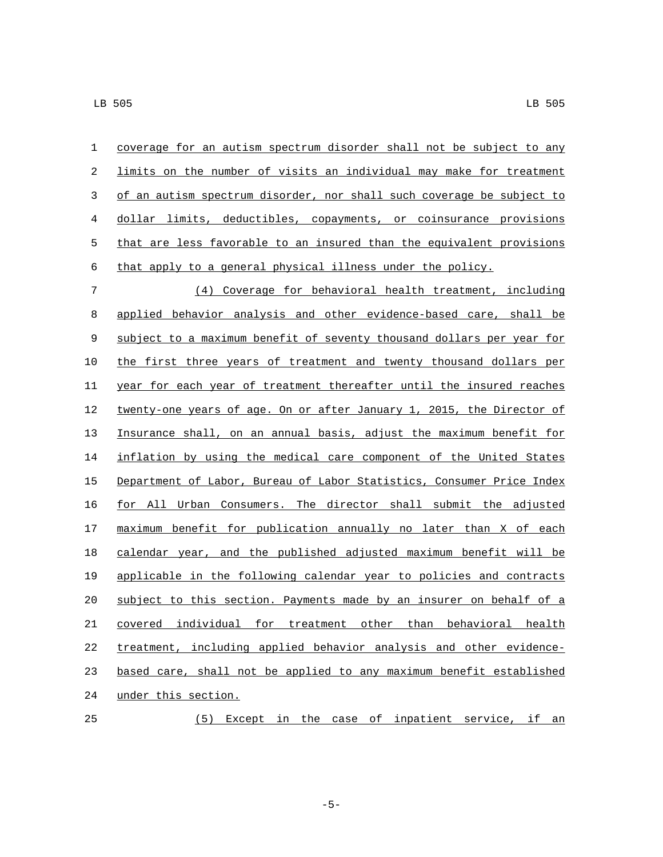coverage for an autism spectrum disorder shall not be subject to any limits on the number of visits an individual may make for treatment of an autism spectrum disorder, nor shall such coverage be subject to dollar limits, deductibles, copayments, or coinsurance provisions that are less favorable to an insured than the equivalent provisions that apply to a general physical illness under the policy.

 (4) Coverage for behavioral health treatment, including applied behavior analysis and other evidence-based care, shall be subject to a maximum benefit of seventy thousand dollars per year for the first three years of treatment and twenty thousand dollars per year for each year of treatment thereafter until the insured reaches 12 twenty-one years of age. On or after January 1, 2015, the Director of Insurance shall, on an annual basis, adjust the maximum benefit for inflation by using the medical care component of the United States Department of Labor, Bureau of Labor Statistics, Consumer Price Index for All Urban Consumers. The director shall submit the adjusted maximum benefit for publication annually no later than X of each calendar year, and the published adjusted maximum benefit will be applicable in the following calendar year to policies and contracts subject to this section. Payments made by an insurer on behalf of a covered individual for treatment other than behavioral health treatment, including applied behavior analysis and other evidence-23 based care, shall not be applied to any maximum benefit established 24 under this section. (5) Except in the case of inpatient service, if an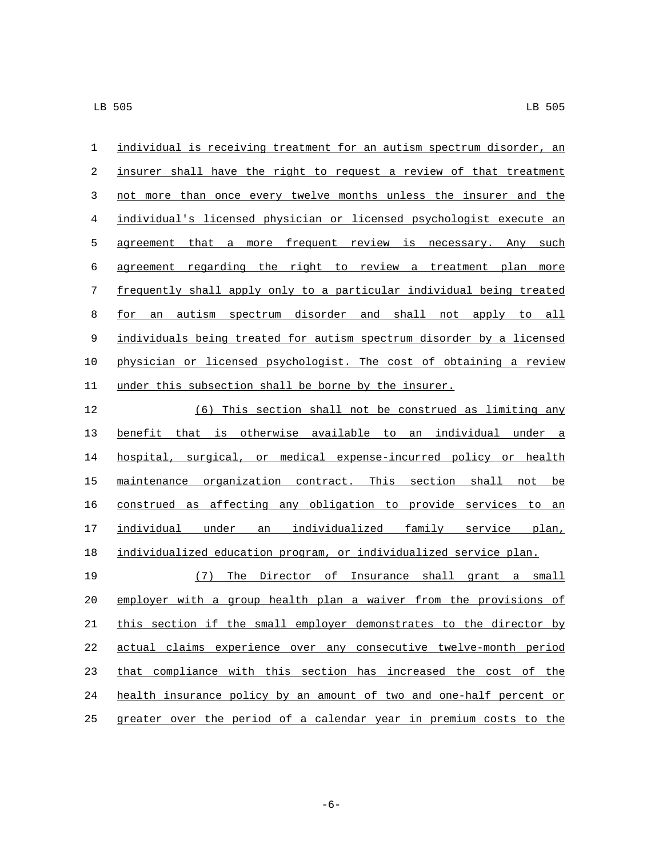individual is receiving treatment for an autism spectrum disorder, an insurer shall have the right to request a review of that treatment not more than once every twelve months unless the insurer and the individual's licensed physician or licensed psychologist execute an 5 agreement that a more frequent review is necessary. Any such agreement regarding the right to review a treatment plan more frequently shall apply only to a particular individual being treated for an autism spectrum disorder and shall not apply to all individuals being treated for autism spectrum disorder by a licensed physician or licensed psychologist. The cost of obtaining a review under this subsection shall be borne by the insurer.

 (6) This section shall not be construed as limiting any benefit that is otherwise available to an individual under a hospital, surgical, or medical expense-incurred policy or health maintenance organization contract. This section shall not be construed as affecting any obligation to provide services to an individual under an individualized family service plan, individualized education program, or individualized service plan.

 (7) The Director of Insurance shall grant a small employer with a group health plan a waiver from the provisions of this section if the small employer demonstrates to the director by actual claims experience over any consecutive twelve-month period that compliance with this section has increased the cost of the health insurance policy by an amount of two and one-half percent or greater over the period of a calendar year in premium costs to the